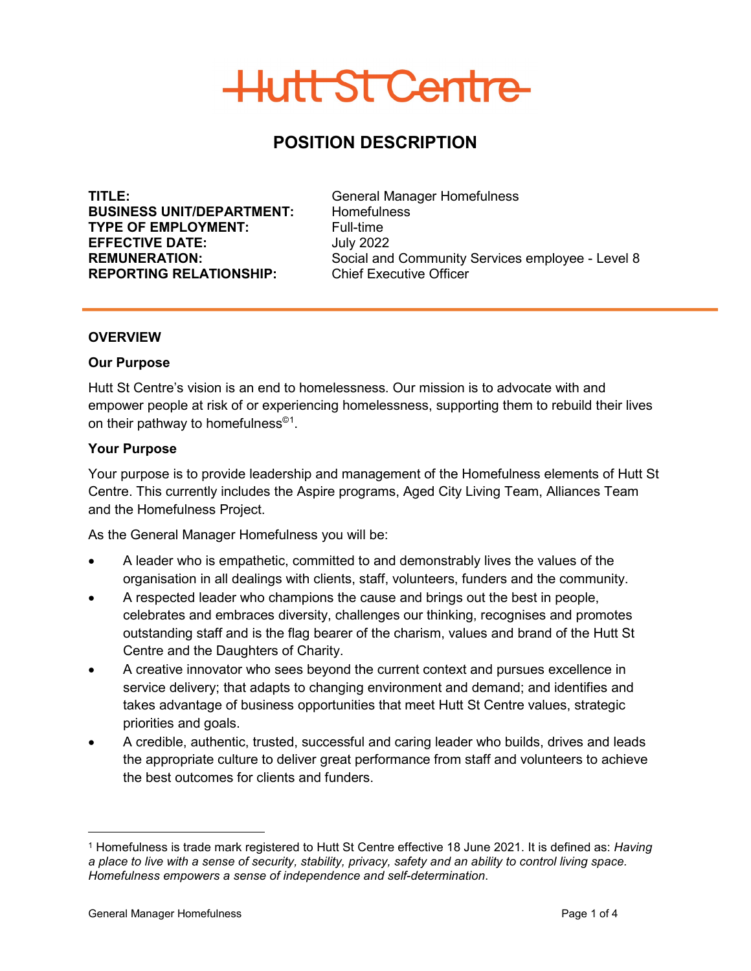## **POSITION DESCRIPTION**

**TITLE:** General Manager Homefulness<br> **BUSINESS UNIT/DEPARTMENT:** Homefulness **BUSINESS UNIT/DEPARTMENT: TYPE OF EMPLOYMENT:**<br> **EFFECTIVE DATE:** July 2022 **EFFECTIVE DATE: REPORTING RELATIONSHIP:** Chief Executive Officer

**REMUNERATION:** Social and Community Services employee - Level 8

#### **OVERVIEW**

#### **Our Purpose**

Hutt St Centre's vision is an end to homelessness. Our mission is to advocate with and empower people at risk of or experiencing homelessness, supporting them to rebuild their lives on their pathway to homefulness $^{\circledcirc}$ [1](#page-0-0).

#### **Your Purpose**

Your purpose is to provide leadership and management of the Homefulness elements of Hutt St Centre. This currently includes the Aspire programs, Aged City Living Team, Alliances Team and the Homefulness Project.

As the General Manager Homefulness you will be:

- A leader who is empathetic, committed to and demonstrably lives the values of the organisation in all dealings with clients, staff, volunteers, funders and the community.
- A respected leader who champions the cause and brings out the best in people, celebrates and embraces diversity, challenges our thinking, recognises and promotes outstanding staff and is the flag bearer of the charism, values and brand of the Hutt St Centre and the Daughters of Charity.
- A creative innovator who sees beyond the current context and pursues excellence in service delivery; that adapts to changing environment and demand; and identifies and takes advantage of business opportunities that meet Hutt St Centre values, strategic priorities and goals.
- A credible, authentic, trusted, successful and caring leader who builds, drives and leads the appropriate culture to deliver great performance from staff and volunteers to achieve the best outcomes for clients and funders.

<span id="page-0-0"></span> <sup>1</sup> Homefulness is trade mark registered to Hutt St Centre effective 18 June 2021. It is defined as: *Having a place to live with a sense of security, stability, privacy, safety and an ability to control living space. Homefulness empowers a sense of independence and self-determination*.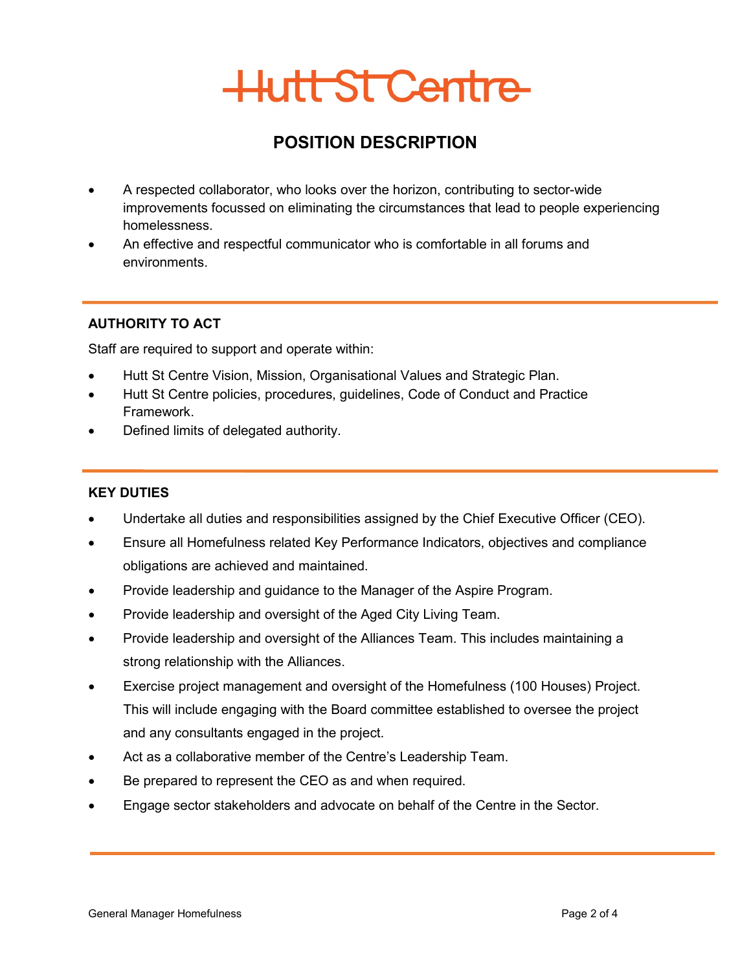## **POSITION DESCRIPTION**

- A respected collaborator, who looks over the horizon, contributing to sector-wide improvements focussed on eliminating the circumstances that lead to people experiencing homelessness.
- An effective and respectful communicator who is comfortable in all forums and environments.

## **AUTHORITY TO ACT**

Staff are required to support and operate within:

- Hutt St Centre Vision, Mission, Organisational Values and Strategic Plan.
- Hutt St Centre policies, procedures, guidelines, Code of Conduct and Practice Framework.
- Defined limits of delegated authority.

## **KEY DUTIES**

- Undertake all duties and responsibilities assigned by the Chief Executive Officer (CEO).
- Ensure all Homefulness related Key Performance Indicators, objectives and compliance obligations are achieved and maintained.
- Provide leadership and guidance to the Manager of the Aspire Program.
- Provide leadership and oversight of the Aged City Living Team.
- Provide leadership and oversight of the Alliances Team. This includes maintaining a strong relationship with the Alliances.
- Exercise project management and oversight of the Homefulness (100 Houses) Project. This will include engaging with the Board committee established to oversee the project and any consultants engaged in the project.
- Act as a collaborative member of the Centre's Leadership Team.
- Be prepared to represent the CEO as and when required.
- Engage sector stakeholders and advocate on behalf of the Centre in the Sector.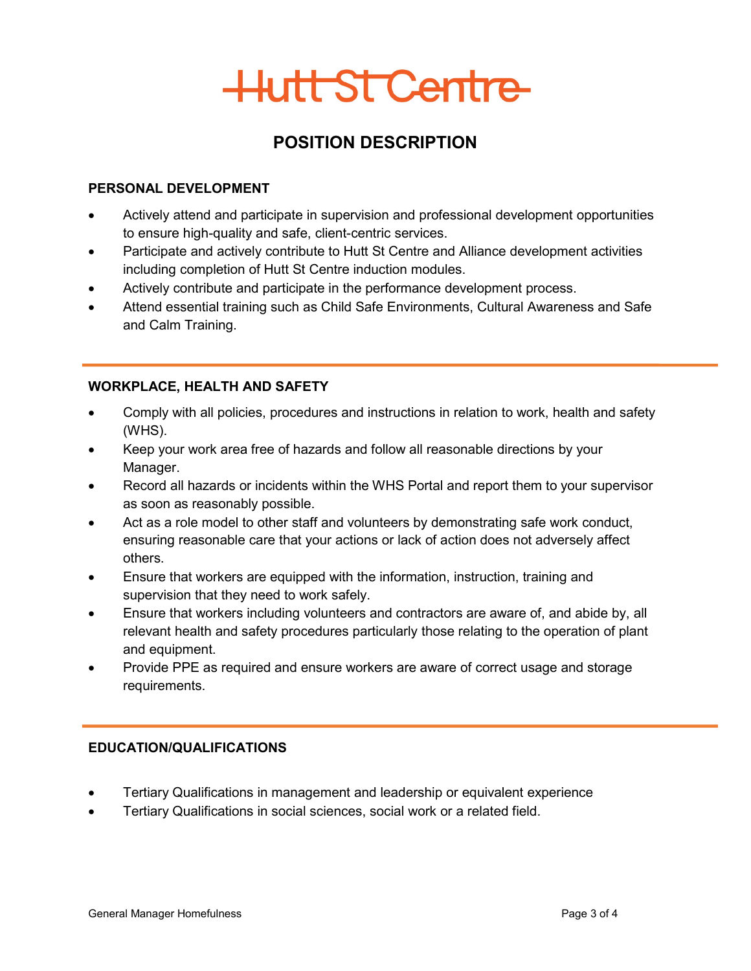## **POSITION DESCRIPTION**

## **PERSONAL DEVELOPMENT**

- Actively attend and participate in supervision and professional development opportunities to ensure high-quality and safe, client-centric services.
- Participate and actively contribute to Hutt St Centre and Alliance development activities including completion of Hutt St Centre induction modules.
- Actively contribute and participate in the performance development process.
- Attend essential training such as Child Safe Environments, Cultural Awareness and Safe and Calm Training.

## **WORKPLACE, HEALTH AND SAFETY**

- Comply with all policies, procedures and instructions in relation to work, health and safety (WHS).
- Keep your work area free of hazards and follow all reasonable directions by your Manager.
- Record all hazards or incidents within the WHS Portal and report them to your supervisor as soon as reasonably possible.
- Act as a role model to other staff and volunteers by demonstrating safe work conduct, ensuring reasonable care that your actions or lack of action does not adversely affect others.
- Ensure that workers are equipped with the information, instruction, training and supervision that they need to work safely.
- Ensure that workers including volunteers and contractors are aware of, and abide by, all relevant health and safety procedures particularly those relating to the operation of plant and equipment.
- Provide PPE as required and ensure workers are aware of correct usage and storage requirements.

## **EDUCATION/QUALIFICATIONS**

- Tertiary Qualifications in management and leadership or equivalent experience
- Tertiary Qualifications in social sciences, social work or a related field.